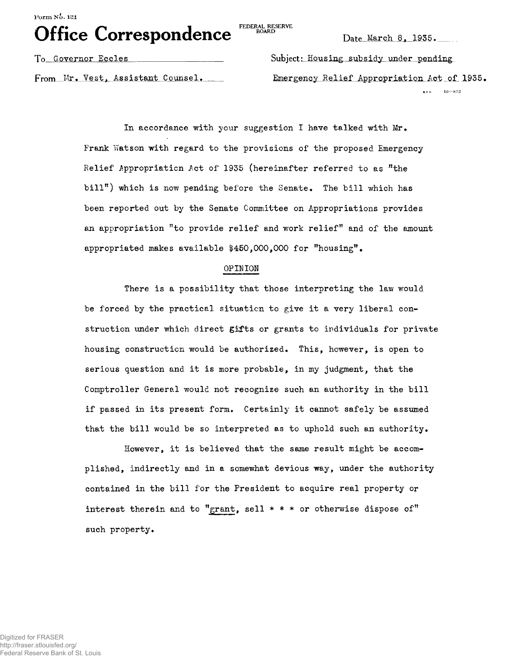# **Office Correspondence**

FEDERAL RESERVE<br>BOARD

Date March 8, 1935.

To Governor Eccles **Subject: Housing subsidy under pending** From Mr. Vest, Assistant Counsel. Emergency Relief Appropriation Act of 1935.  $8P6 = 16 - 852$ 

> In accordance with your suggestion I have talked with  $Mr$ . Frank Watson with regard to the provisions of the proposed Emergency Relief Appropriation Act of 1935 (hereinafter referred to as "the bill") which is now pending before the Senate. The bill which has been reported out by the Senate Committee on Appropriations provides an appropriation "to provide relief and work relief" and of the amount appropriated makes available \$450,000,000 for "housing".

## OPINION

There is a possibility that those interpreting the law would be forced by the practical situation to give it a very liberal construction under which direct gifts or grants to individuals for private housing construction would be authorized. This, however, is open to serious question and it is more probable, in my judgment, that the Comptroller General would not recognize such an authority in the bill if passed in its present form. Certainly it cannot safely be assumed that the bill would be so interpreted as to uphold such an authority.

However, it is believed that the same result might be accomplished, indirectly and in a somewhat devious way, under the authority contained in the bill for the President to acquire real property or interest therein and to "grant, sell  $* * *$  or otherwise dispose of" such property.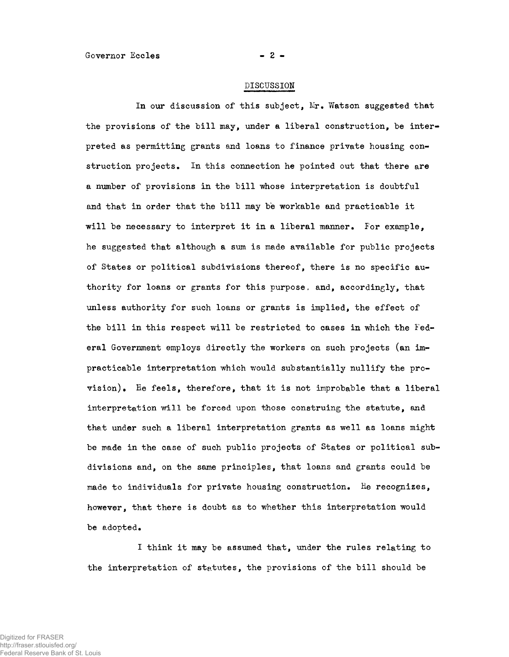#### DISCUSSION

In our discussion of this subject, Mr. Watson suggested that the provisions of the bill may, under a liberal construction, be interpreted as permitting grants and loans to finance private housing construction projects. In this connection he pointed out that there are a number of provisions in the bill whose interpretation is doubtful and that in order that the bill may be workable and practicable it will be necessary to interpret it in a liberal manner. For example, he suggested that although a sum is made available for public projects of States or political subdivisions thereof, there is no specific authority for loans or grants for this purpose, and, accordingly, that unless authority for such loans or grants is implied, the effect of the bill in this respect will be restricted to cases in which the Federal Government employs directly the workers on such projects (an impracticable interpretation which would substantially nullify the provision). He feels, therefore, that it is not improbable that a liberal interpretation will be forced upon those construing the statute, and that under such a liberal interpretation grants as well as loans might be made in the case of such public projects of States or political subdivisions and, on the same principles, that loans and grants could be made to individuals for private housing construction. He recognizes, however, that there is doubt as to whether this interpretation would be adopted,

I think it may be assumed that, under the rules relating to the interpretation of statutes, the provisions of the bill should be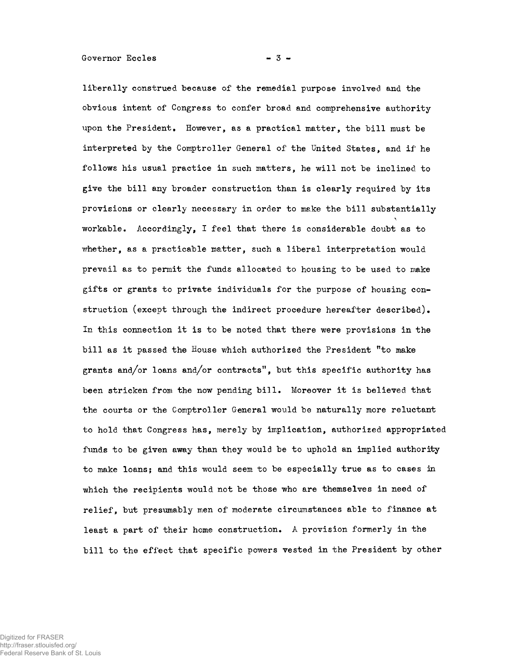Governor Eccles  $-3$  -

liberally construed because of the remedial purpose involved and the obvious intent of Congress to confer broad and comprehensive authority upon the President, However, as a practical matter, the bill must be interpreted by the Comptroller General of the United States, and if he follows his usual practice in such matters, he will not be inclined to give the bill any broader construction than is clearly required by its provisions or clearly necessary in order to make the bill substantially workable. Accordingly, I feel that there is considerable doubt as to whether, as a practicable matter, such a liberal interpretation would prevail as to permit the funds allocated to housing to be used to make gifts or grants to private individuals for the purpose of housing construction (except through the indirect procedure hereafter described). In this connection it is to be noted that there were provisions in the bill as it passed the House which authorized the President "to make grants and/or loans and/or contracts", but this specific authority has been stricken from the now pending bill. Moreover it is believed that the courts or the Comptroller General would be naturally more reluctant to hold that Congress has, merely by implication, authorized appropriated funds to be given away than they would be to uphold an implied authority to make loans; and this would seem to be especially true as to cases in which the recipients would not be those who are themselves in need of relief, but presumably men of moderate circumstances able to finance at least a part of their home construction. A provision formerly in the bill to the effect that specific powers vested in the President by other

Digitized for FRASER http://fraser.stlouisfed.org/ Federal Reserve Bank of St. Louis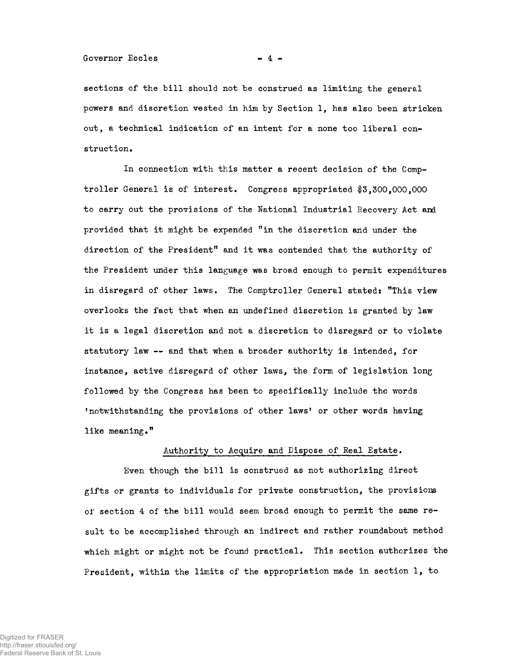sections of the bill should not be construed as limiting the general powers and discretion vested in him by Section 1, has also been stricken out, a technical indication of an intent for a none too liberal construction.

In connection with this matter a recent decision of the Comptroller General is of interest. Congress appropriated #3,300,000,000 to carry out the provisions of the National Industrial Recovery Act and provided that it might be expended "in the discretion and under the direction of the President" and it was contended that the authority of the President under this language was broad enough to permit expenditures in disregard of other laws. The Comptroller General stated: "This view overlooks the fact that when an undefined discretion is granted by law it is a legal discretion and not a discretion to disregard or to violate statutory law -- and that when a broader authority is intended, for instance, active disregard of other laws, the form of legislation long followed by the Congress has been to specifically include the words 'notwithstanding the provisions of other laws' or other words having like meaning."

## Authority to Acquire and Dispose of Real Estate,

Even though the bill is construed as not authorizing direct gifts or grants to individuals for private construction, the provisions of section 4 of the bill would seem broad enough to permit the same result to be accomplished through an indirect and rather roundabout method which might or might not be found practical. This section authorizes the President, within the limits of the appropriation made in section 1, to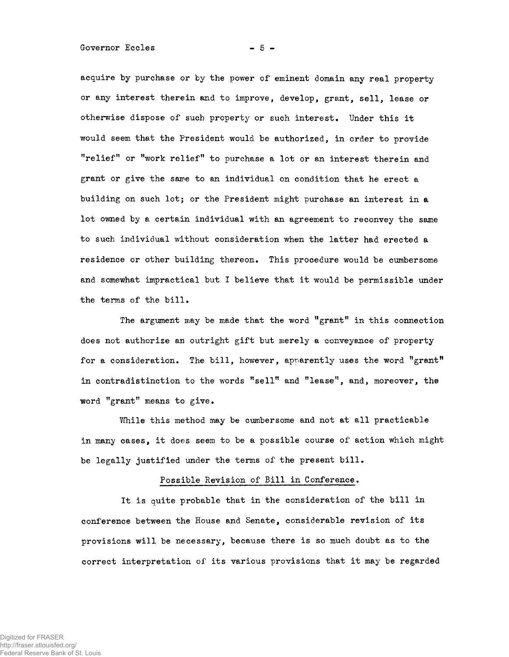acquire by purchase or by the power of eminent domain any real property or any interest therein and to improve, develop, grant, sell, lease or otherwise dispose of such property or such interest. Under this it would seem that the President would be authorized, in order to provide "relief" or "work relief" to purchase a lot or an interest therein and grant or give the same to an individual on condition that he erect a building on such lot; or the President might purchase an interest in a lot owned by a certain individual with an agreement to reconvey the same to such individual without consideration when the latter had erected a residence or other building thereon. This procedure would be cumbersome and somewhat impractical but I believe that it would be permissible under the terms of the bill.

The argument may be made that the word "grant" in this connection does not authorize an outright gift but merely a conveyance of property for a consideration. The bill, however, apparently uses the word "grant" in contradistinction to the words "sell" and "lease", and, moreover, the word "grant" means to give.

While this method may be cumbersome and not at all practicable in many cases, it does seem to be a possible course of action which might be legally justified under the terms of the present bill.

## Possible Revision of Bill in Conference.

It is quite probable that in the consideration of the bill in conference between the House and Senate, considerable revision of its provisions will be necessary, because there is so much doubt as to the correct interpretation of its various provisions that it may be regarded